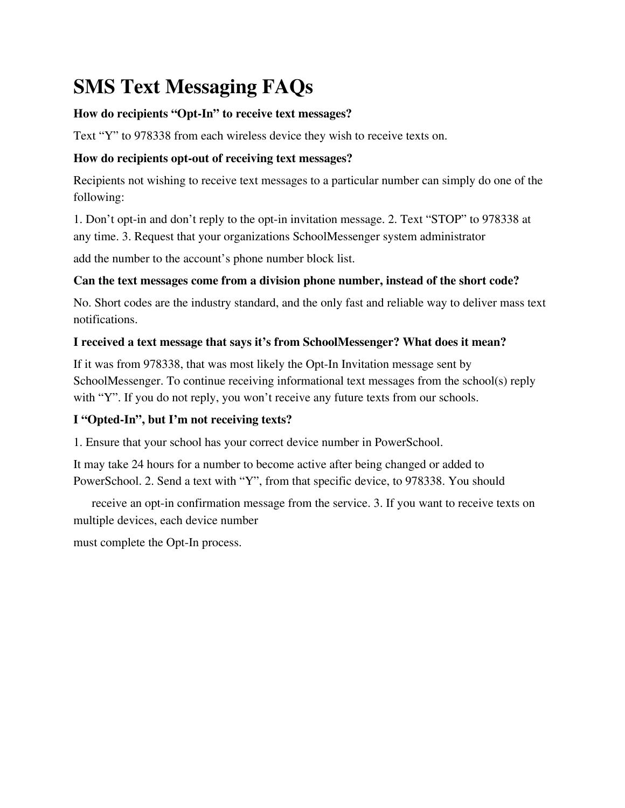# **SMS Text Messaging FAQs**

## **How do recipients "Opt-In" to receive text messages?**

Text "Y" to 978338 from each wireless device they wish to receive texts on.

# **How do recipients opt-out of receiving text messages?**

Recipients not wishing to receive text messages to a particular number can simply do one of the following:

1. Don't opt-in and don't reply to the opt-in invitation message. 2. Text "STOP" to 978338 at any time. 3. Request that your organizations SchoolMessenger system administrator

add the number to the account's phone number block list.

# **Can the text messages come from a division phone number, instead of the short code?**

No. Short codes are the industry standard, and the only fast and reliable way to deliver mass text notifications.

## **I received a text message that says it's from SchoolMessenger? What does it mean?**

If it was from 978338, that was most likely the Opt-In Invitation message sent by SchoolMessenger. To continue receiving informational text messages from the school(s) reply with "Y". If you do not reply, you won't receive any future texts from our schools.

# **I "Opted-In", but I'm not receiving texts?**

1. Ensure that your school has your correct device number in PowerSchool.

It may take 24 hours for a number to become active after being changed or added to PowerSchool. 2. Send a text with "Y", from that specific device, to 978338. You should

receive an opt-in confirmation message from the service. 3. If you want to receive texts on multiple devices, each device number

must complete the Opt-In process.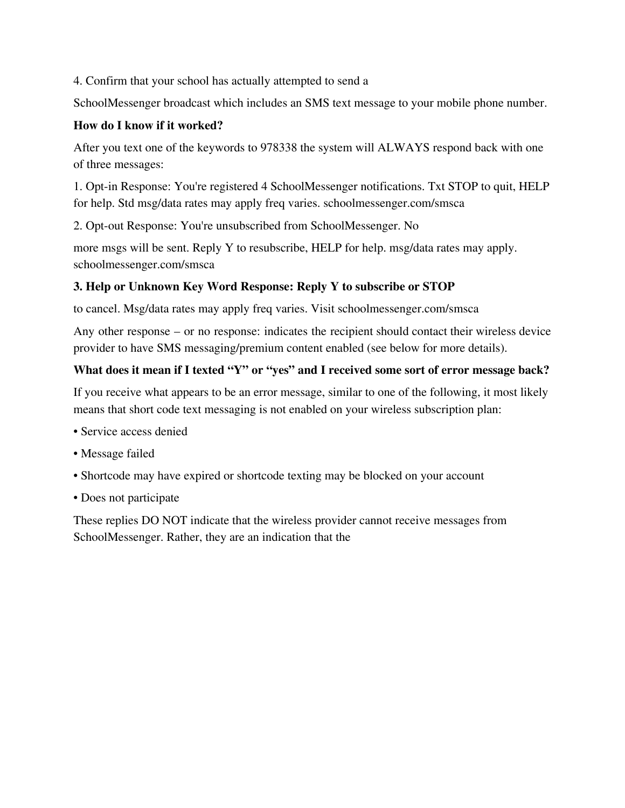4. Confirm that your school has actually attempted to send a

SchoolMessenger broadcast which includes an SMS text message to your mobile phone number.

### **How do I know if it worked?**

After you text one of the keywords to 978338 the system will ALWAYS respond back with one of three messages:

1. Opt-in Response: You're registered 4 SchoolMessenger notifications. Txt STOP to quit, HELP for help. Std msg/data rates may apply freq varies. schoolmessenger.com/smsca

2. Opt-out Response: You're unsubscribed from SchoolMessenger. No

more msgs will be sent. Reply Y to resubscribe, HELP for help. msg/data rates may apply. schoolmessenger.com/smsca

## **3. Help or Unknown Key Word Response: Reply Y to subscribe or STOP**

to cancel. Msg/data rates may apply freq varies. Visit schoolmessenger.com/smsca

Any other response – or no response: indicates the recipient should contact their wireless device provider to have SMS messaging/premium content enabled (see below for more details).

### **What does it mean if I texted "Y" or "yes" and I received some sort of error message back?**

If you receive what appears to be an error message, similar to one of the following, it most likely means that short code text messaging is not enabled on your wireless subscription plan:

- Service access denied
- Message failed
- Shortcode may have expired or shortcode texting may be blocked on your account
- Does not participate

These replies DO NOT indicate that the wireless provider cannot receive messages from SchoolMessenger. Rather, they are an indication that the